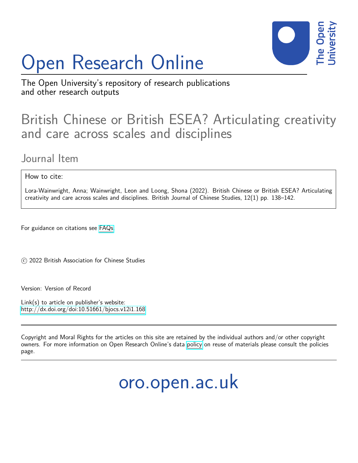# Open Research Online



The Open University's repository of research publications and other research outputs

## British Chinese or British ESEA? Articulating creativity and care across scales and disciplines

### Journal Item

How to cite:

Lora-Wainwright, Anna; Wainwright, Leon and Loong, Shona (2022). British Chinese or British ESEA? Articulating creativity and care across scales and disciplines. British Journal of Chinese Studies, 12(1) pp. 138–142.

For guidance on citations see [FAQs.](http://oro.open.ac.uk/help/helpfaq.html)

c 2022 British Association for Chinese Studies

Version: Version of Record

Link(s) to article on publisher's website: <http://dx.doi.org/doi:10.51661/bjocs.v12i1.168>

Copyright and Moral Rights for the articles on this site are retained by the individual authors and/or other copyright owners. For more information on Open Research Online's data [policy](http://oro.open.ac.uk/policies.html) on reuse of materials please consult the policies page.

## oro.open.ac.uk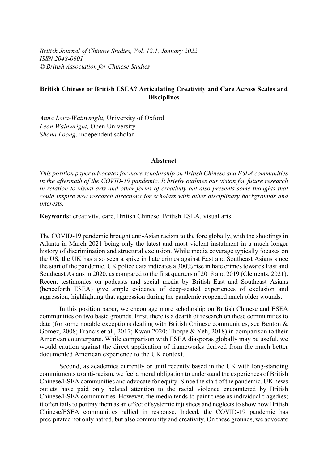*British Journal of Chinese Studies, Vol. 12.1, January 2022 ISSN 2048-0601 © British Association for Chinese Studies* 

### **British Chinese or British ESEA? Articulating Creativity and Care Across Scales and Disciplines**

*Anna Lora-Wainwright,* University of Oxford *Leon Wainwright,* Open University *Shona Loong*, independent scholar

#### **Abstract**

*This position paper advocates for more scholarship on British Chinese and ESEA communities in the aftermath of the COVID-19 pandemic. It briefly outlines our vision for future research in relation to visual arts and other forms of creativity but also presents some thoughts that could inspire new research directions for scholars with other disciplinary backgrounds and interests.*

**Keywords:** creativity, care, British Chinese, British ESEA, visual arts

The COVID-19 pandemic brought anti-Asian racism to the fore globally, with the shootings in Atlanta in March 2021 being only the latest and most violent instalment in a much longer history of discrimination and structural exclusion. While media coverage typically focuses on the US, the UK has also seen a spike in hate crimes against East and Southeast Asians since the start of the pandemic. UK police data indicates a 300% rise in hate crimes towards East and Southeast Asians in 2020, as compared to the first quarters of 2018 and 2019 (Clements, 2021). Recent testimonies on podcasts and social media by British East and Southeast Asians (henceforth ESEA) give ample evidence of deep-seated experiences of exclusion and aggression, highlighting that aggression during the pandemic reopened much older wounds.

In this position paper, we encourage more scholarship on British Chinese and ESEA communities on two basic grounds. First, there is a dearth of research on these communities to date (for some notable exceptions dealing with British Chinese communities, see Benton & Gomez, 2008; Francis et al., 2017; Kwan 2020; Thorpe & Yeh, 2018) in comparison to their American counterparts. While comparison with ESEA diasporas globally may be useful, we would caution against the direct application of frameworks derived from the much better documented American experience to the UK context.

Second, as academics currently or until recently based in the UK with long-standing commitments to anti-racism, we feel a moral obligation to understand the experiences of British Chinese/ESEA communities and advocate for equity. Since the start of the pandemic, UK news outlets have paid only belated attention to the racial violence encountered by British Chinese/ESEA communities. However, the media tends to paint these as individual tragedies; it often fails to portray them as an effect of systemic injustices and neglects to show how British Chinese/ESEA communities rallied in response. Indeed, the COVID-19 pandemic has precipitated not only hatred, but also community and creativity. On these grounds, we advocate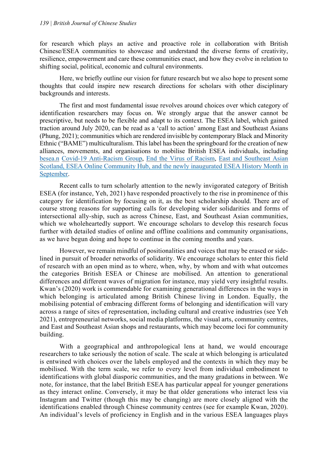for research which plays an active and proactive role in collaboration with British Chinese/ESEA communities to showcase and understand the diverse forms of creativity, resilience, empowerment and care these communities enact, and how they evolve in relation to shifting social, political, economic and cultural environments.

Here, we briefly outline our vision for future research but we also hope to present some thoughts that could inspire new research directions for scholars with other disciplinary backgrounds and interests.

The first and most fundamental issue revolves around choices over which category of identification researchers may focus on. We strongly argue that the answer cannot be prescriptive, but needs to be flexible and adapt to its context. The ESEA label, which gained traction around July 2020, can be read as a 'call to action' among East and Southeast Asians (Phung, 2021); communities which are rendered invisible by contemporary Black and Minority Ethnic ("BAME") multiculturalism. This label has been the springboard for the creation of new alliances, movements, and organisations to mobilise British ESEA individuals, including [besea.n](https://www.besean.co.uk/) [Covid-19 Anti-Racism Group,](https://www.carg.info/) [End the Virus of Racism,](https://www.endthevirusofracism.com/) [East and Southeast Asian](https://www.esascotland.org/)  [Scotland,](https://www.esascotland.org/) [ESEA Online Community Hub,](https://www.eseahub.co.uk/) and the newly inaugurated ESEA History Month in September.

Recent calls to turn scholarly attention to the newly invigorated category of British ESEA (for instance, Yeh, 2021) have responded proactively to the rise in prominence of this category for identification by focusing on it, as the best scholarship should. There are of course strong reasons for supporting calls for developing wider solidarities and forms of intersectional ally-ship, such as across Chinese, East, and Southeast Asian communities, which we wholeheartedly support. We encourage scholars to develop this research focus further with detailed studies of online and offline coalitions and community organisations, as we have begun doing and hope to continue in the coming months and years.

However, we remain mindful of positionalities and voices that may be erased or sidelined in pursuit of broader networks of solidarity. We encourage scholars to enter this field of research with an open mind as to where, when, why, by whom and with what outcomes the categories British ESEA or Chinese are mobilised. An attention to generational differences and different waves of migration for instance, may yield very insightful results. Kwan's (2020) work is commendable for examining generational differences in the ways in which belonging is articulated among British Chinese living in London. Equally, the mobilising potential of embracing different forms of belonging and identification will vary across a range of sites of representation, including cultural and creative industries (see Yeh 2021), entrepreneurial networks, social media platforms, the visual arts, community centres, and East and Southeast Asian shops and restaurants, which may become loci for community building.

With a geographical and anthropological lens at hand, we would encourage researchers to take seriously the notion of scale. The scale at which belonging is articulated is entwined with choices over the labels employed and the contexts in which they may be mobilised. With the term scale, we refer to every level from individual embodiment to identifications with global diasporic communities, and the many gradations in between. We note, for instance, that the label British ESEA has particular appeal for younger generations as they interact online. Conversely, it may be that older generations who interact less via Instagram and Twitter (though this may be changing) are more closely aligned with the identifications enabled through Chinese community centres (see for example Kwan, 2020). An individual's levels of proficiency in English and in the various ESEA languages plays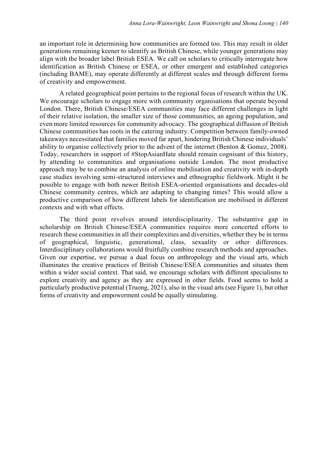an important role in determining how communities are formed too. This may result in older generations remaining keener to identify as British Chinese, while younger generations may align with the broader label British ESEA. We call on scholars to critically interrogate how identification as British Chinese or ESEA, or other emergent and established categories (including BAME), may operate differently at different scales and through different forms of creativity and empowerment.

A related geographical point pertains to the regional focus of research within the UK. We encourage scholars to engage more with community organisations that operate beyond London. There, British Chinese/ESEA communities may face different challenges in light of their relative isolation, the smaller size of those communities, an ageing population, and even more limited resources for community advocacy. The geographical diffusion of British Chinese communities has roots in the catering industry. Competition between family-owned takeaways necessitated that families moved far apart, hindering British Chinese individuals' ability to organise collectively prior to the advent of the internet (Benton & Gomez, 2008). Today, researchers in support of #StopAsianHate should remain cognisant of this history, by attending to communities and organisations outside London. The most productive approach may be to combine an analysis of online mobilisation and creativity with in-depth case studies involving semi-structured interviews and ethnographic fieldwork. Might it be possible to engage with both newer British ESEA-oriented organisations and decades-old Chinese community centres, which are adapting to changing times? This would allow a productive comparison of how different labels for identification are mobilised in different contexts and with what effects.

The third point revolves around interdisciplinarity. The substantive gap in scholarship on British Chinese/ESEA communities requires more concerted efforts to research these communities in all their complexities and diversities, whether they be in terms of geographical, linguistic, generational, class, sexuality or other differences. Interdisciplinary collaborations would fruitfully combine research methods and approaches. Given our expertise, we pursue a dual focus on anthropology and the visual arts, which illuminates the creative practices of British Chinese/ESEA communities and situates them within a wider social context. That said, we encourage scholars with different specialisms to explore creativity and agency as they are expressed in other fields. Food seems to hold a particularly productive potential (Truong, 2021), also in the visual arts (see Figure 1), but other forms of creativity and empowerment could be equally stimulating.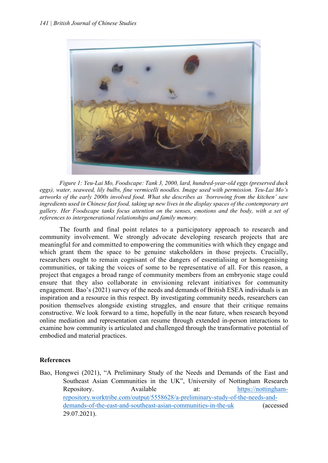

*Figure 1: Yeu-Lai Mo, Foodscape: Tank 3, 2000, lard, hundred-year-old eggs (preserved duck eggs), water, seaweed, lily bulbs, fine vermicelli noodles. Image used with permission. Yeu-Lai Mo's artworks of the early 2000s involved food. What she describes as 'borrowing from the kitchen' saw ingredients used in Chinese fast food, taking up new lives in the display spaces of the contemporary art gallery. Her Foodscape tanks focus attention on the senses, emotions and the body, with a set of references to intergenerational relationships and family memory.*

The fourth and final point relates to a participatory approach to research and community involvement. We strongly advocate developing research projects that are meaningful for and committed to empowering the communities with which they engage and which grant them the space to be genuine stakeholders in those projects. Crucially, researchers ought to remain cognisant of the dangers of essentialising or homogenising communities, or taking the voices of some to be representative of all. For this reason, a project that engages a broad range of community members from an embryonic stage could ensure that they also collaborate in envisioning relevant initiatives for community engagement. Bao's (2021) survey of the needs and demands of British ESEA individuals is an inspiration and a resource in this respect. By investigating community needs, researchers can position themselves alongside existing struggles, and ensure that their critique remains constructive. We look forward to a time, hopefully in the near future, when research beyond online mediation and representation can resume through extended in-person interactions to examine how community is articulated and challenged through the transformative potential of embodied and material practices.

### **References**

Bao, Hongwei (2021), "A Preliminary Study of the Needs and Demands of the East and Southeast Asian Communities in the UK", University of Nottingham Research Repository. Available at: [https://nottingham](https://nottingham-repository.worktribe.com/output/5558628/a-preliminary-study-of-the-needs-and-demands-of-the-east-and-southeast-asian-communities-in-the-uk)[repository.worktribe.com/output/5558628/a-preliminary-study-of-the-needs-and](https://nottingham-repository.worktribe.com/output/5558628/a-preliminary-study-of-the-needs-and-demands-of-the-east-and-southeast-asian-communities-in-the-uk)[demands-of-the-east-and-southeast-asian-communities-in-the-uk](https://nottingham-repository.worktribe.com/output/5558628/a-preliminary-study-of-the-needs-and-demands-of-the-east-and-southeast-asian-communities-in-the-uk) (accessed 29.07.2021).